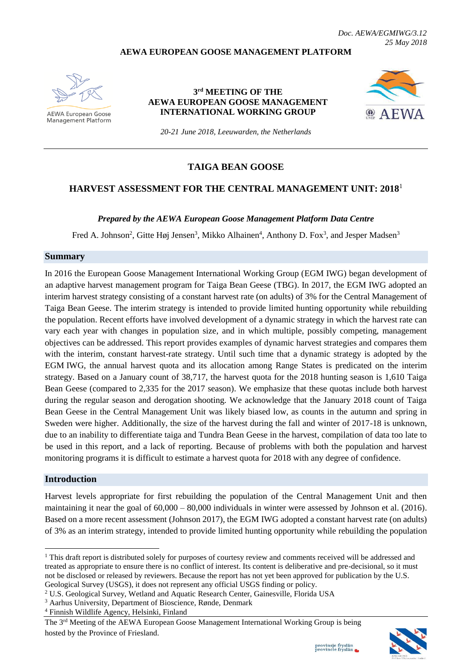*Doc. AEWA/EGMIWG/3.12 25 May 2018*

#### **AEWA EUROPEAN GOOSE MANAGEMENT PLATFORM**



**AEWA European Goose Management Platform** 

#### **3 rd MEETING OF THE AEWA EUROPEAN GOOSE MANAGEMENT INTERNATIONAL WORKING GROUP**



*20-21 June 2018, Leeuwarden, the Netherlands*

### **TAIGA BEAN GOOSE**

### **HARVEST ASSESSMENT FOR THE CENTRAL MANAGEMENT UNIT: 2018**<sup>1</sup>

#### *Prepared by the AEWA European Goose Management Platform Data Centre*

Fred A. Johnson<sup>2</sup>, Gitte Høj Jensen<sup>3</sup>, Mikko Alhainen<sup>4</sup>, Anthony D. Fox<sup>3</sup>, and Jesper Madsen<sup>3</sup>

#### **Summary**

In 2016 the European Goose Management International Working Group (EGM IWG) began development of an adaptive harvest management program for Taiga Bean Geese (TBG). In 2017, the EGM IWG adopted an interim harvest strategy consisting of a constant harvest rate (on adults) of 3% for the Central Management of Taiga Bean Geese. The interim strategy is intended to provide limited hunting opportunity while rebuilding the population. Recent efforts have involved development of a dynamic strategy in which the harvest rate can vary each year with changes in population size, and in which multiple, possibly competing, management objectives can be addressed. This report provides examples of dynamic harvest strategies and compares them with the interim, constant harvest-rate strategy. Until such time that a dynamic strategy is adopted by the EGM IWG, the annual harvest quota and its allocation among Range States is predicated on the interim strategy. Based on a January count of 38,717, the harvest quota for the 2018 hunting season is 1,610 Taiga Bean Geese (compared to 2,335 for the 2017 season). We emphasize that these quotas include both harvest during the regular season and derogation shooting. We acknowledge that the January 2018 count of Taiga Bean Geese in the Central Management Unit was likely biased low, as counts in the autumn and spring in Sweden were higher. Additionally, the size of the harvest during the fall and winter of 2017-18 is unknown, due to an inability to differentiate taiga and Tundra Bean Geese in the harvest, compilation of data too late to be used in this report, and a lack of reporting. Because of problems with both the population and harvest monitoring programs it is difficult to estimate a harvest quota for 2018 with any degree of confidence.

#### **Introduction**

1

Harvest levels appropriate for first rebuilding the population of the Central Management Unit and then maintaining it near the goal of 60,000 – 80,000 individuals in winter were assessed by Johnson et al. (2016). Based on a more recent assessment (Johnson 2017), the EGM IWG adopted a constant harvest rate (on adults) of 3% as an interim strategy, intended to provide limited hunting opportunity while rebuilding the population

The 3rd Meeting of the AEWA European Goose Management International Working Group is being hosted by the Province of Friesland.



<sup>&</sup>lt;sup>1</sup> This draft report is distributed solely for purposes of courtesy review and comments received will be addressed and treated as appropriate to ensure there is no conflict of interest. Its content is deliberative and pre-decisional, so it must not be disclosed or released by reviewers. Because the report has not yet been approved for publication by the U.S. Geological Survey (USGS), it does not represent any official USGS finding or policy.

<sup>2</sup> U.S. Geological Survey, Wetland and Aquatic Research Center, Gainesville, Florida USA

<sup>3</sup> Aarhus University, Department of Bioscience, Rønde, Denmark

<sup>4</sup> Finnish Wildlife Agency, Helsinki, Finland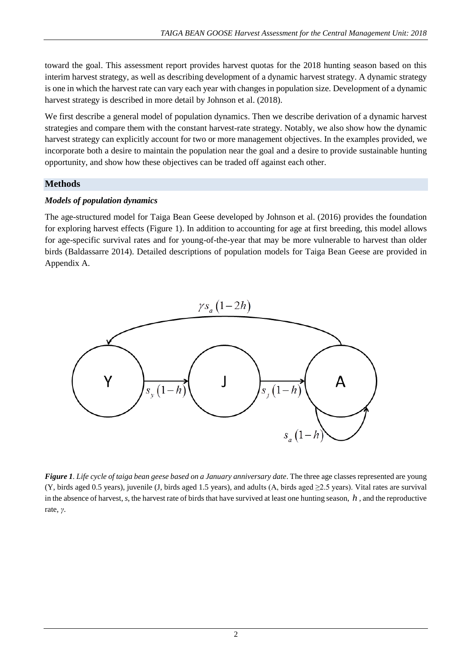toward the goal. This assessment report provides harvest quotas for the 2018 hunting season based on this interim harvest strategy, as well as describing development of a dynamic harvest strategy. A dynamic strategy is one in which the harvest rate can vary each year with changes in population size. Development of a dynamic harvest strategy is described in more detail by Johnson et al. (2018).

We first describe a general model of population dynamics. Then we describe derivation of a dynamic harvest strategies and compare them with the constant harvest-rate strategy. Notably, we also show how the dynamic harvest strategy can explicitly account for two or more management objectives. In the examples provided, we incorporate both a desire to maintain the population near the goal and a desire to provide sustainable hunting opportunity, and show how these objectives can be traded off against each other.

# **Methods**

# *Models of population dynamics*

The age-structured model for Taiga Bean Geese developed by Johnson et al. (2016) provides the foundation for exploring harvest effects (Figure 1). In addition to accounting for age at first breeding, this model allows for age-specific survival rates and for young-of-the-year that may be more vulnerable to harvest than older birds (Baldassarre 2014). Detailed descriptions of population models for Taiga Bean Geese are provided in Appendix A.



*Figure 1. Life cycle of taiga bean geese based on a January anniversary date*. The three age classes represented are young (Y, birds aged 0.5 years), juvenile (J, birds aged 1.5 years), and adults (A, birds aged ≥2.5 years). Vital rates are survival in the absence of harvest, *s*, the harvest rate of birds that have survived at least one hunting season, *h* , and the reproductive rate, *γ*.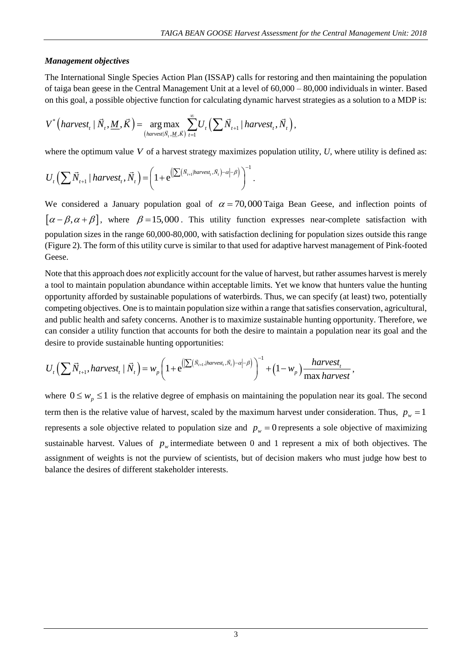### *Management objectives*

The International Single Species Action Plan (ISSAP) calls for restoring and then maintaining the population of taiga bean geese in the Central Management Unit at a level of 60,000 – 80,000 individuals in winter. Based on this goal, a possible objective function for calculating dynamic harvest strategies as a solution to a MDP is:

$$
V^*\left(harvest_t | \vec{N}_t, \underline{M}, \vec{K}\right) = \underset{\left(harvest | \vec{N}_t, \underline{M}, \vec{K}\right)}{\arg \max} \sum_{t=1}^{\infty} U_t \left( \sum \vec{N}_{t+1} | \text{harvest}_t, \vec{N}_t \right),
$$

where the optimum value *V* of a harvest strategy maximizes population utility, *U*, where utility is defined as:  
\n
$$
U_t \left( \sum \vec{N}_{t+1} | \text{harvest}_t, \vec{N}_t \right) = \left( 1 + e^{\left( \sum (\vec{N}_{t+1} | \text{harvest}_t, \vec{N}_t) - \alpha \right) - \beta} \right)^{-1}.
$$

We considered a January population goal of  $\alpha = 70,000$  Taiga Bean Geese, and inflection points of  $[\alpha-\beta,\alpha+\beta]$ , where  $\beta=15,000$ . This utility function expresses near-complete satisfaction with population sizes in the range 60,000-80,000, with satisfaction declining for population sizes outside this range (Figure 2). The form of this utility curve is similar to that used for adaptive harvest management of Pink-footed Geese.

Note that this approach does *not* explicitly account for the value of harvest, but rather assumes harvest is merely a tool to maintain population abundance within acceptable limits. Yet we know that hunters value the hunting opportunity afforded by sustainable populations of waterbirds. Thus, we can specify (at least) two, potentially competing objectives. One is to maintain population size within a range that satisfies conservation, agricultural, and public health and safety concerns. Another is to maximize sustainable hunting opportunity. Therefore, we can consider a utility function that accounts for both the desire to maintain a population near its goal and the desire to provide sustainable hunting opportunities:

$$
U_{t}\left(\sum \vec{N}_{t+1}, harvest_{t} | \vec{N}_{t}\right)=w_{p}\left(1+e^{\left(\left(\sum (\vec{N}_{t+1},|haryest_{t},\vec{N}_{t}|-a|-\beta\right)}\right)^{-1}+\left(1-w_{p}\right)\frac{harvest_{t}}{\max\,harvest},\right)
$$

where  $0 \leq w_p \leq 1$  is the relative degree of emphasis on maintaining the population near its goal. The second term then is the relative value of harvest, scaled by the maximum harvest under consideration. Thus,  $p_w = 1$ represents a sole objective related to population size and  $p_w = 0$  represents a sole objective of maximizing sustainable harvest. Values of  $p_w$  intermediate between 0 and 1 represent a mix of both objectives. The assignment of weights is not the purview of scientists, but of decision makers who must judge how best to balance the desires of different stakeholder interests.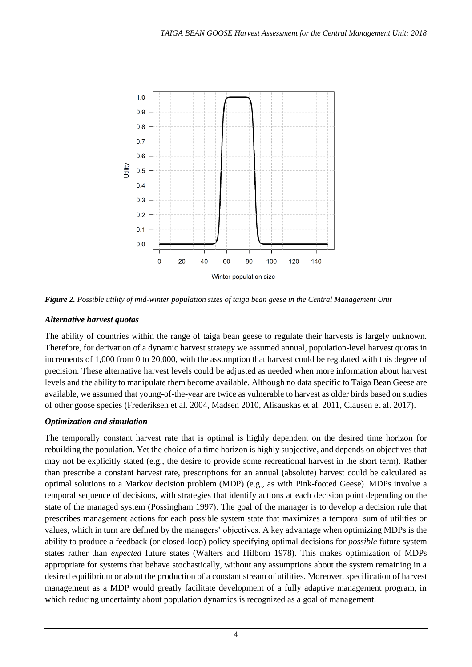

*Figure 2. Possible utility of mid-winter population sizes of taiga bean geese in the Central Management Unit*

# *Alternative harvest quotas*

The ability of countries within the range of taiga bean geese to regulate their harvests is largely unknown. Therefore, for derivation of a dynamic harvest strategy we assumed annual, population-level harvest quotas in increments of 1,000 from 0 to 20,000, with the assumption that harvest could be regulated with this degree of precision. These alternative harvest levels could be adjusted as needed when more information about harvest levels and the ability to manipulate them become available. Although no data specific to Taiga Bean Geese are available, we assumed that young-of-the-year are twice as vulnerable to harvest as older birds based on studies of other goose species (Frederiksen et al. 2004, Madsen 2010, Alisauskas et al. 2011, Clausen et al. 2017).

# *Optimization and simulation*

The temporally constant harvest rate that is optimal is highly dependent on the desired time horizon for rebuilding the population. Yet the choice of a time horizon is highly subjective, and depends on objectives that may not be explicitly stated (e.g., the desire to provide some recreational harvest in the short term). Rather than prescribe a constant harvest rate, prescriptions for an annual (absolute) harvest could be calculated as optimal solutions to a Markov decision problem (MDP) (e.g., as with Pink-footed Geese). MDPs involve a temporal sequence of decisions, with strategies that identify actions at each decision point depending on the state of the managed system (Possingham 1997). The goal of the manager is to develop a decision rule that prescribes management actions for each possible system state that maximizes a temporal sum of utilities or values, which in turn are defined by the managers' objectives. A key advantage when optimizing MDPs is the ability to produce a feedback (or closed-loop) policy specifying optimal decisions for *possible* future system states rather than *expected* future states (Walters and Hilborn 1978). This makes optimization of MDPs appropriate for systems that behave stochastically, without any assumptions about the system remaining in a desired equilibrium or about the production of a constant stream of utilities. Moreover, specification of harvest management as a MDP would greatly facilitate development of a fully adaptive management program, in which reducing uncertainty about population dynamics is recognized as a goal of management.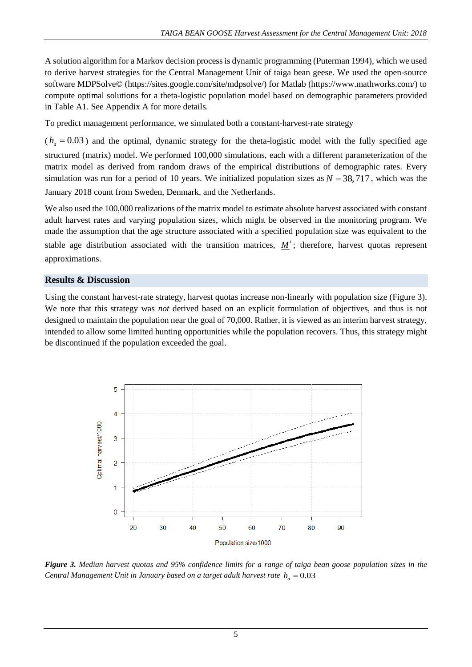A solution algorithm for a Markov decision process is dynamic programming (Puterman 1994), which we used to derive harvest strategies for the Central Management Unit of taiga bean geese. We used the open-source software MDPSolve© (https://sites.google.com/site/mdpsolve/) for Matlab (https://www.mathworks.com/) to compute optimal solutions for a theta-logistic population model based on demographic parameters provided in Table A1. See Appendix A for more details.

To predict management performance, we simulated both a constant-harvest-rate strategy

 $(h_a = 0.03)$  and the optimal, dynamic strategy for the theta-logistic model with the fully specified age structured (matrix) model. We performed 100,000 simulations, each with a different parameterization of the matrix model as derived from random draws of the empirical distributions of demographic rates. Every simulation was run for a period of 10 years. We initialized population sizes as  $N = 38,717$ , which was the January 2018 count from Sweden, Denmark, and the Netherlands.

We also used the 100,000 realizations of the matrix model to estimate absolute harvest associated with constant adult harvest rates and varying population sizes, which might be observed in the monitoring program. We made the assumption that the age structure associated with a specified population size was equivalent to the stable age distribution associated with the transition matrices,  $M^i$ ; therefore, harvest quotas represent approximations.

## **Results & Discussion**

Using the constant harvest-rate strategy, harvest quotas increase non-linearly with population size (Figure 3). We note that this strategy was *not* derived based on an explicit formulation of objectives, and thus is not designed to maintain the population near the goal of 70,000. Rather, it is viewed as an interim harvest strategy, intended to allow some limited hunting opportunities while the population recovers. Thus, this strategy might be discontinued if the population exceeded the goal.



*Figure 3. Median harvest quotas and 95% confidence limits for a range of taiga bean goose population sizes in the Central Management Unit in January based on a target adult harvest rate*  $h_a = 0.03$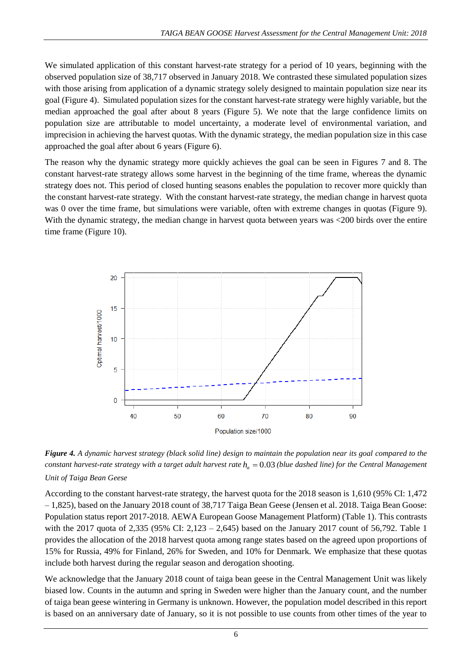We simulated application of this constant harvest-rate strategy for a period of 10 years, beginning with the observed population size of 38,717 observed in January 2018. We contrasted these simulated population sizes with those arising from application of a dynamic strategy solely designed to maintain population size near its goal (Figure 4). Simulated population sizes for the constant harvest-rate strategy were highly variable, but the median approached the goal after about 8 years (Figure 5). We note that the large confidence limits on population size are attributable to model uncertainty, a moderate level of environmental variation, and imprecision in achieving the harvest quotas. With the dynamic strategy, the median population size in this case approached the goal after about 6 years (Figure 6).

The reason why the dynamic strategy more quickly achieves the goal can be seen in Figures 7 and 8. The constant harvest-rate strategy allows some harvest in the beginning of the time frame, whereas the dynamic strategy does not. This period of closed hunting seasons enables the population to recover more quickly than the constant harvest-rate strategy. With the constant harvest-rate strategy, the median change in harvest quota was 0 over the time frame, but simulations were variable, often with extreme changes in quotas (Figure 9). With the dynamic strategy, the median change in harvest quota between years was <200 birds over the entire time frame (Figure 10).



*Figure 4. A dynamic harvest strategy (black solid line) design to maintain the population near its goal compared to the constant harvest-rate strategy with a target adult harvest rate*  $h_a = 0.03$  (blue dashed line) for the Central Management *Unit of Taiga Bean Geese*

According to the constant harvest-rate strategy, the harvest quota for the 2018 season is 1,610 (95% CI: 1,472 – 1,825), based on the January 2018 count of 38,717 Taiga Bean Geese (Jensen et al. 2018. Taiga Bean Goose: Population status report 2017-2018. AEWA European Goose Management Platform) (Table 1). This contrasts with the 2017 quota of 2,335 (95% CI: 2,123 – 2,645) based on the January 2017 count of 56,792. Table 1 provides the allocation of the 2018 harvest quota among range states based on the agreed upon proportions of 15% for Russia, 49% for Finland, 26% for Sweden, and 10% for Denmark. We emphasize that these quotas include both harvest during the regular season and derogation shooting.

We acknowledge that the January 2018 count of taiga bean geese in the Central Management Unit was likely biased low. Counts in the autumn and spring in Sweden were higher than the January count, and the number of taiga bean geese wintering in Germany is unknown. However, the population model described in this report is based on an anniversary date of January, so it is not possible to use counts from other times of the year to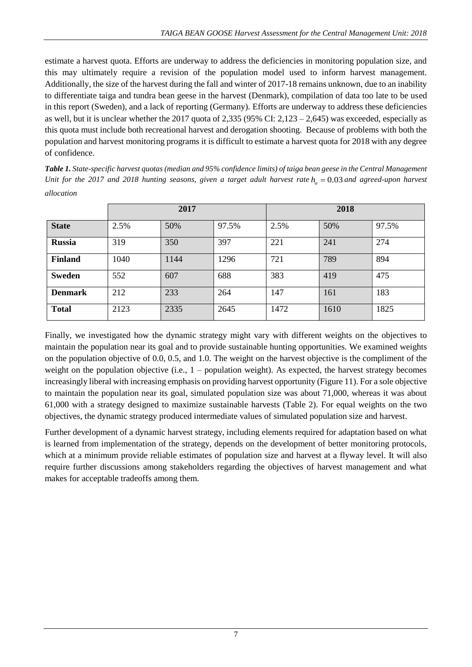estimate a harvest quota. Efforts are underway to address the deficiencies in monitoring population size, and this may ultimately require a revision of the population model used to inform harvest management. Additionally, the size of the harvest during the fall and winter of 2017-18 remains unknown, due to an inability to differentiate taiga and tundra bean geese in the harvest (Denmark), compilation of data too late to be used in this report (Sweden), and a lack of reporting (Germany). Efforts are underway to address these deficiencies as well, but it is unclear whether the 2017 quota of 2,335 (95% CI:  $2,123 - 2,645$ ) was exceeded, especially as this quota must include both recreational harvest and derogation shooting. Because of problems with both the population and harvest monitoring programs it is difficult to estimate a harvest quota for 2018 with any degree of confidence.

*Table 1. State-specific harvest quotas (median and 95% confidence limits) of taiga bean geese in the Central Management Unit for the 2017 and 2018 hunting seasons, given a target adult harvest rate*  $h_a = 0.03$  and agreed-upon harvest *allocation*

|                | 2017 |      |       | 2018 |      |       |
|----------------|------|------|-------|------|------|-------|
| <b>State</b>   | 2.5% | 50%  | 97.5% | 2.5% | 50%  | 97.5% |
| <b>Russia</b>  | 319  | 350  | 397   | 221  | 241  | 274   |
| <b>Finland</b> | 1040 | 1144 | 1296  | 721  | 789  | 894   |
| <b>Sweden</b>  | 552  | 607  | 688   | 383  | 419  | 475   |
| <b>Denmark</b> | 212  | 233  | 264   | 147  | 161  | 183   |
| <b>Total</b>   | 2123 | 2335 | 2645  | 1472 | 1610 | 1825  |

Finally, we investigated how the dynamic strategy might vary with different weights on the objectives to maintain the population near its goal and to provide sustainable hunting opportunities. We examined weights on the population objective of 0.0, 0.5, and 1.0. The weight on the harvest objective is the compliment of the weight on the population objective (i.e.,  $1$  – population weight). As expected, the harvest strategy becomes increasingly liberal with increasing emphasis on providing harvest opportunity (Figure 11). For a sole objective to maintain the population near its goal, simulated population size was about 71,000, whereas it was about 61,000 with a strategy designed to maximize sustainable harvests (Table 2). For equal weights on the two objectives, the dynamic strategy produced intermediate values of simulated population size and harvest.

Further development of a dynamic harvest strategy, including elements required for adaptation based on what is learned from implementation of the strategy, depends on the development of better monitoring protocols, which at a minimum provide reliable estimates of population size and harvest at a flyway level. It will also require further discussions among stakeholders regarding the objectives of harvest management and what makes for acceptable tradeoffs among them.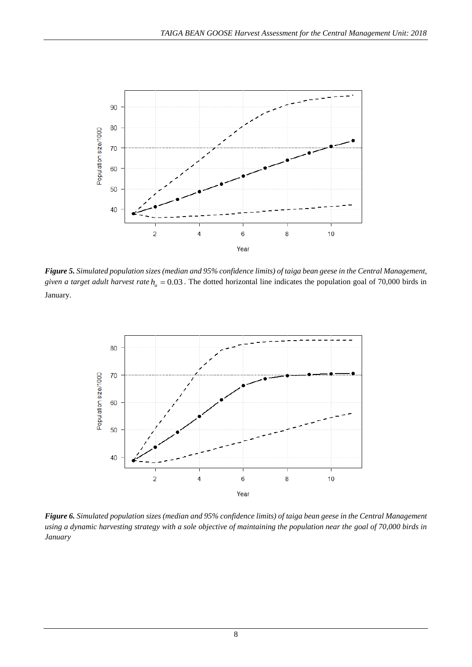

*Figure 5. Simulated population sizes (median and 95% confidence limits) of taiga bean geese in the Central Management, given a target adult harvest rate*  $h_a = 0.03$ . The dotted horizontal line indicates the population goal of 70,000 birds in January.



*Figure 6. Simulated population sizes (median and 95% confidence limits) of taiga bean geese in the Central Management using a dynamic harvesting strategy with a sole objective of maintaining the population near the goal of 70,000 birds in January*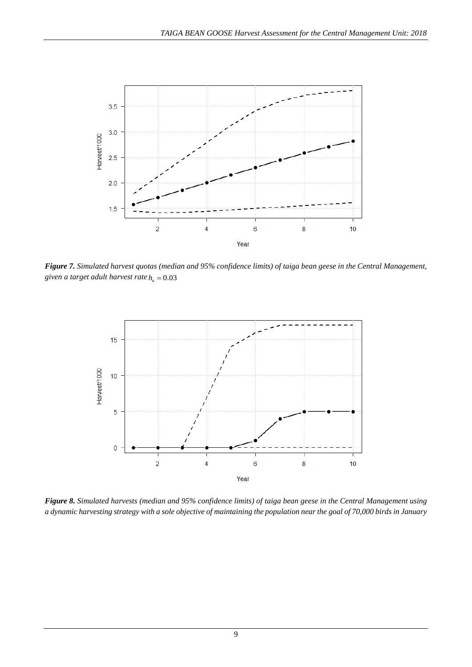

*Figure 7. Simulated harvest quotas (median and 95% confidence limits) of taiga bean geese in the Central Management,*  given a *target* adult harvest rate  $h_a = 0.03$ 



*Figure 8. Simulated harvests (median and 95% confidence limits) of taiga bean geese in the Central Management using a dynamic harvesting strategy with a sole objective of maintaining the population near the goal of 70,000 birds in January*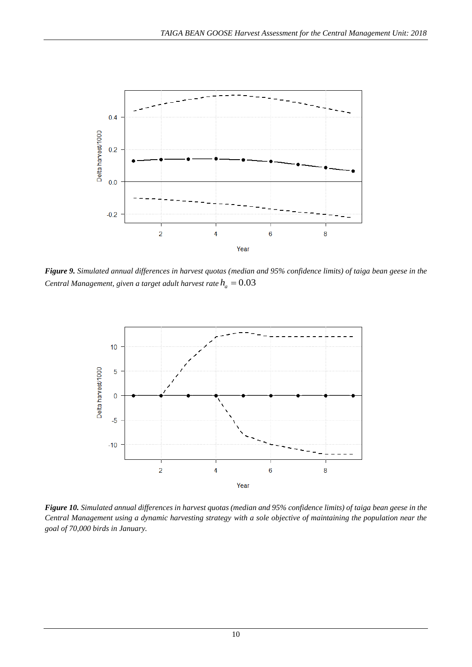

*Figure 9. Simulated annual differences in harvest quotas (median and 95% confidence limits) of taiga bean geese in the*  Central Management, given a target adult harvest rate  $h_a = 0.03$ 



*Figure 10. Simulated annual differences in harvest quotas (median and 95% confidence limits) of taiga bean geese in the Central Management using a dynamic harvesting strategy with a sole objective of maintaining the population near the goal of 70,000 birds in January.*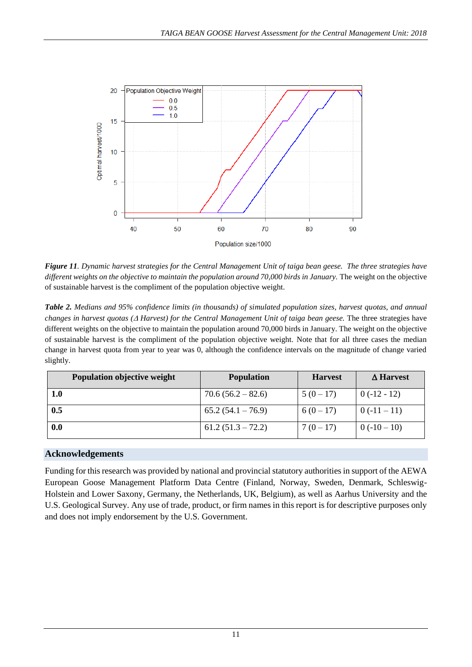

*Figure 11. Dynamic harvest strategies for the Central Management Unit of taiga bean geese. The three strategies have different weights on the objective to maintain the population around 70,000 birds in January.* The weight on the objective of sustainable harvest is the compliment of the population objective weight.

*Table 2. Medians and 95% confidence limits (in thousands) of simulated population sizes, harvest quotas, and annual changes in harvest quotas ( Harvest) for the Central Management Unit of taiga bean geese.* The three strategies have different weights on the objective to maintain the population around 70,000 birds in January. The weight on the objective of sustainable harvest is the compliment of the population objective weight. Note that for all three cases the median change in harvest quota from year to year was 0, although the confidence intervals on the magnitude of change varied slightly.

| Population objective weight | <b>Population</b>   | <b>Harvest</b> | <b>A</b> Harvest |
|-----------------------------|---------------------|----------------|------------------|
| 1.0                         | $70.6(56.2-82.6)$   | $5(0-17)$      | $0(-12-12)$      |
| 0.5                         | $65.2(54.1 - 76.9)$ | $6(0-17)$      | $0(-11-11)$      |
| $0.0\,$                     | $61.2(51.3 - 72.2)$ | $7(0-17)$      | $0(-10-10)$      |

## **Acknowledgements**

Funding for this research was provided by national and provincial statutory authorities in support of the AEWA European Goose Management Platform Data Centre (Finland, Norway, Sweden, Denmark, Schleswig-Holstein and Lower Saxony, Germany, the Netherlands, UK, Belgium), as well as Aarhus University and the U.S. Geological Survey. Any use of trade, product, or firm names in this report is for descriptive purposes only and does not imply endorsement by the U.S. Government.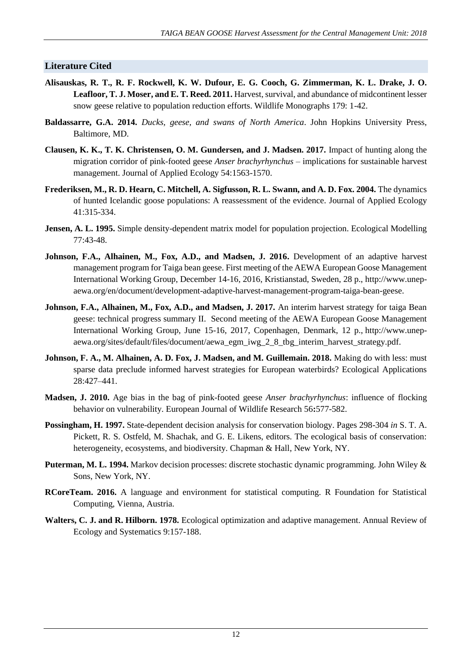### **Literature Cited**

- **Alisauskas, R. T., R. F. Rockwell, K. W. Dufour, E. G. Cooch, G. Zimmerman, K. L. Drake, J. O. Leafloor, T. J. Moser, and E. T. Reed. 2011.** Harvest, survival, and abundance of midcontinent lesser snow geese relative to population reduction efforts. Wildlife Monographs 179: 1-42.
- **Baldassarre, G.A. 2014.** *Ducks, geese, and swans of North America*. John Hopkins University Press, Baltimore, MD.
- **Clausen, K. K., T. K. Christensen, O. M. Gundersen, and J. Madsen. 2017.** Impact of hunting along the migration corridor of pink-footed geese *Anser brachyrhynchus* – implications for sustainable harvest management. Journal of Applied Ecology 54:1563-1570.
- Frederiksen, M., R. D. Hearn, C. Mitchell, A. Sigfusson, R. L. Swann, and A. D. Fox. 2004. The dynamics of hunted Icelandic goose populations: A reassessment of the evidence. Journal of Applied Ecology 41:315-334.
- **Jensen, A. L. 1995.** Simple density-dependent matrix model for population projection. Ecological Modelling 77:43-48.
- Johnson, F.A., Alhainen, M., Fox, A.D., and Madsen, J. 2016. Development of an adaptive harvest management program for Taiga bean geese. First meeting of the AEWA European Goose Management International Working Group, December 14-16, 2016, Kristianstad, Sweden, 28 p., http://www.unepaewa.org/en/document/development-adaptive-harvest-management-program-taiga-bean-geese.
- **Johnson, F.A., Alhainen, M., Fox, A.D., and Madsen, J. 2017.** An interim harvest strategy for taiga Bean geese: technical progress summary II. Second meeting of the AEWA European Goose Management International Working Group, June 15-16, 2017, Copenhagen, Denmark, 12 p., http://www.unepaewa.org/sites/default/files/document/aewa\_egm\_iwg\_2\_8\_tbg\_interim\_harvest\_strategy.pdf.
- **Johnson, F. A., M. Alhainen, A. D. Fox, J. Madsen, and M. Guillemain. 2018.** Making do with less: must sparse data preclude informed harvest strategies for European waterbirds? Ecological Applications 28:427–441.
- **Madsen, J. 2010.** Age bias in the bag of pink-footed geese *Anser brachyrhynchus*: influence of flocking behavior on vulnerability. European Journal of Wildlife Research 56**:**577-582.
- **Possingham, H. 1997.** State-dependent decision analysis for conservation biology. Pages 298-304 *in* S. T. A. Pickett, R. S. Ostfeld, M. Shachak, and G. E. Likens, editors. The ecological basis of conservation: heterogeneity, ecosystems, and biodiversity. Chapman & Hall, New York, NY.
- **Puterman, M. L. 1994.** Markov decision processes: discrete stochastic dynamic programming. John Wiley & Sons, New York, NY.
- **RCoreTeam. 2016.** A language and environment for statistical computing. R Foundation for Statistical Computing, Vienna, Austria.
- **Walters, C. J. and R. Hilborn. 1978.** Ecological optimization and adaptive management. Annual Review of Ecology and Systematics 9:157-188.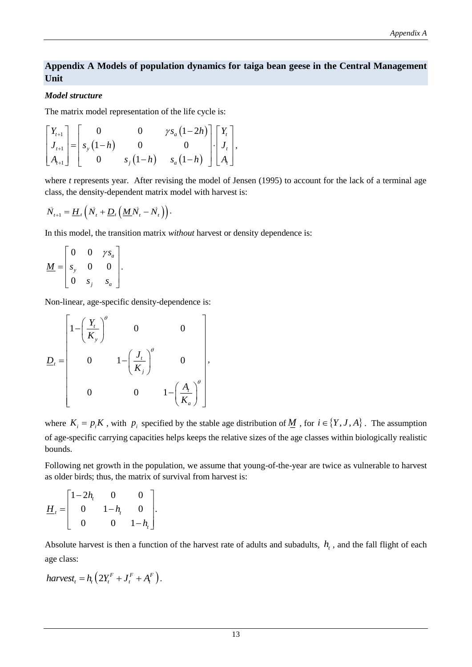## **Appendix A Models of population dynamics for taiga bean geese in the Central Management Unit**

## *Model structure*

The matrix model representation of the life cycle is:

$$
\begin{bmatrix} Y_{t+1} \\ J_{t+1} \\ A_{t+1} \end{bmatrix} = \begin{bmatrix} 0 & 0 & \gamma s_a (1-2h) \\ s_y (1-h) & 0 & 0 \\ 0 & s_y (1-h) & s_a (1-h) \end{bmatrix} \begin{bmatrix} Y_t \\ J_t \\ A_t \end{bmatrix},
$$

where *t* represents year. After revising the model of Jensen (1995) to account for the lack of a terminal age class, the density-dependent matrix model with harvest is:

$$
\vec{N}_{t+1} = \underline{H}_t \left( \vec{N}_t + \underline{D}_t \left( \underline{M} \vec{N}_t - \vec{N}_t \right) \right).
$$

In this model, the transition matrix *without* harvest or density dependence is:

$$
\underline{M} = \begin{bmatrix} 0 & 0 & \gamma s_a \\ s_y & 0 & 0 \\ 0 & s_j & s_a \end{bmatrix}.
$$

Non-linear, age-specific density-dependence is:

$$
\underline{D}_{t} = \begin{bmatrix} 1 - \left(\frac{Y_{t}}{K_{y}}\right)^{\theta} & 0 & 0 \\ 0 & 1 - \left(\frac{J_{t}}{K_{j}}\right)^{\theta} & 0 \\ 0 & 0 & 1 - \left(\frac{A_{t}}{K_{a}}\right)^{\theta} \end{bmatrix},
$$

where  $K_i = p_i K$ , with  $p_i$  specified by the stable age distribution of  $M$ , for  $i \in \{Y, J, A\}$ . The assumption of age-specific carrying capacities helps keeps the relative sizes of the age classes within biologically realistic bounds.

Following net growth in the population, we assume that young-of-the-year are twice as vulnerable to harvest as older birds; thus, the matrix of survival from harvest is:

$$
\underline{H}_t = \begin{bmatrix} 1-2h_t & 0 & 0 \\ 0 & 1-h_t & 0 \\ 0 & 0 & 1-h_t \end{bmatrix}.
$$

Absolute harvest is then a function of the harvest rate of adults and subadults,  $h<sub>t</sub>$ , and the fall flight of each age class:

$$
harvest_t = h_t \left( 2Y_t^F + J_t^F + A_t^F \right).
$$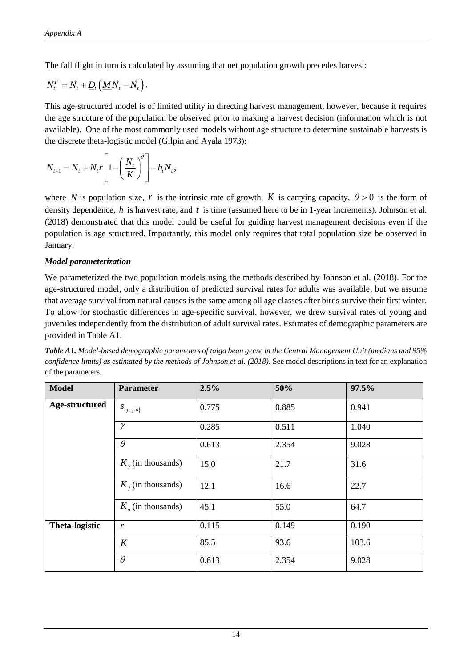The fall flight in turn is calculated by assuming that net population growth precedes harvest:

$$
\vec{N}^F_t = \vec{N}_t + \underline{D}_t \left( \underline{M} \vec{N}_t - \vec{N}_t \right).
$$

This age-structured model is of limited utility in directing harvest management, however, because it requires the age structure of the population be observed prior to making a harvest decision (information which is not available). One of the most commonly used models without age structure to determine sustainable harvests is the discrete theta-logistic model (Gilpin and Ayala 1973):

$$
N_{t+1} = N_t + N_t r \left[ 1 - \left(\frac{N_t}{K}\right)^{\theta} \right] - h_t N_t,
$$

where N is population size, r is the intrinsic rate of growth, K is carrying capacity,  $\theta > 0$  is the form of density dependence, h is harvest rate, and t is time (assumed here to be in 1-year increments). Johnson et al. (2018) demonstrated that this model could be useful for guiding harvest management decisions even if the population is age structured. Importantly, this model only requires that total population size be observed in January.

#### *Model parameterization*

We parameterized the two population models using the methods described by Johnson et al. (2018). For the age-structured model, only a distribution of predicted survival rates for adults was available, but we assume that average survival from natural causes is the same among all age classes after birds survive their first winter. To allow for stochastic differences in age-specific survival, however, we drew survival rates of young and juveniles independently from the distribution of adult survival rates. Estimates of demographic parameters are provided in Table A1.

| <b>Model</b>          | <b>Parameter</b>       | 2.5%  | 50%   | 97.5% |
|-----------------------|------------------------|-------|-------|-------|
| Age-structured        | $S_{\{y,j,a\}}$        | 0.775 | 0.885 | 0.941 |
|                       | $\gamma$               | 0.285 | 0.511 | 1.040 |
|                       | $\theta$               | 0.613 | 2.354 | 9.028 |
|                       | $K_{v}$ (in thousands) | 15.0  | 21.7  | 31.6  |
|                       | $K_i$ (in thousands)   | 12.1  | 16.6  | 22.7  |
|                       | $K_a$ (in thousands)   | 45.1  | 55.0  | 64.7  |
| <b>Theta-logistic</b> | r                      | 0.115 | 0.149 | 0.190 |
|                       | K                      | 85.5  | 93.6  | 103.6 |
|                       | $\theta$               | 0.613 | 2.354 | 9.028 |

*Table A1. Model-based demographic parameters of taiga bean geese in the Central Management Unit (medians and 95% confidence limits) as estimated by the methods of Johnson et al. (2018).* See model descriptions in text for an explanation of the parameters.